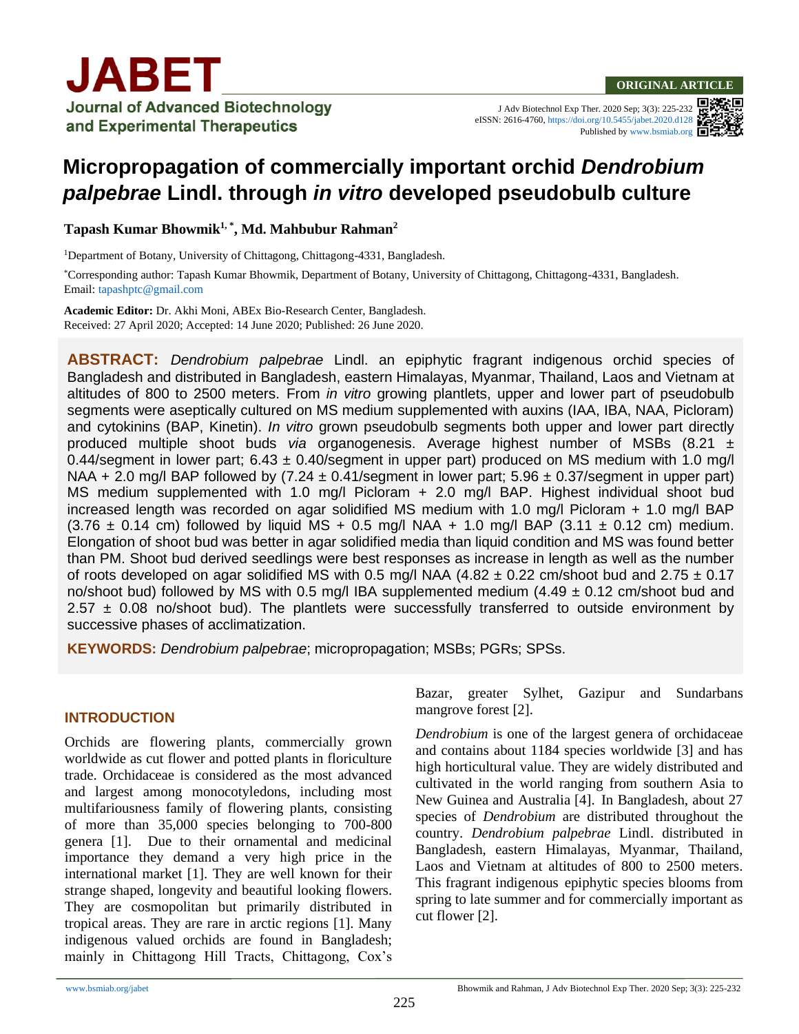J Adv Biotechnol Exp Ther. 2020 Sep; 3(3): 225-232 eISSN: 2616-4760[, https://doi.org/10.5455/jabet.2020.d128](https://doi.org/10.5455/jabet.2020.d128) Published b[y www.bsmiab.org](http://www.bsmiab.org/)

# **Micropropagation of commercially important orchid** *Dendrobium palpebrae* **Lindl. through** *in vitro* **developed pseudobulb culture**

**Tapash Kumar Bhowmik1, \* , Md. Mahbubur Rahman<sup>2</sup>**

<sup>1</sup>Department of Botany, University of Chittagong, Chittagong-4331, Bangladesh.

\*Corresponding author: Tapash Kumar Bhowmik, Department of Botany, University of Chittagong, Chittagong-4331, Bangladesh. Email[: tapashptc@gmail.com](mailto:tapashptc@gmail.com)

**Academic Editor:** Dr. Akhi Moni, ABEx Bio-Research Center, Bangladesh. Received: 27 April 2020; Accepted: 14 June 2020; Published: 26 June 2020.

**ABSTRACT:** *Dendrobium palpebrae* Lindl. an epiphytic fragrant indigenous orchid species of Bangladesh and distributed in Bangladesh, eastern Himalayas, Myanmar, Thailand, Laos and Vietnam at altitudes of 800 to 2500 meters. From *in vitro* growing plantlets, upper and lower part of pseudobulb segments were aseptically cultured on MS medium supplemented with auxins (IAA, IBA, NAA, Picloram) and cytokinins (BAP, Kinetin). *In vitro* grown pseudobulb segments both upper and lower part directly produced multiple shoot buds *via* organogenesis. Average highest number of MSBs (8.21 ± 0.44/segment in lower part; 6.43  $\pm$  0.40/segment in upper part) produced on MS medium with 1.0 mg/l NAA + 2.0 mg/l BAP followed by  $(7.24 \pm 0.41)$  segment in lower part; 5.96  $\pm$  0.37/segment in upper part) MS medium supplemented with 1.0 mg/l Picloram + 2.0 mg/l BAP. Highest individual shoot bud increased length was recorded on agar solidified MS medium with 1.0 mg/l Picloram + 1.0 mg/l BAP  $(3.76 \pm 0.14 \text{ cm})$  followed by liquid MS + 0.5 mg/l NAA + 1.0 mg/l BAP  $(3.11 \pm 0.12 \text{ cm})$  medium. Elongation of shoot bud was better in agar solidified media than liquid condition and MS was found better than PM. Shoot bud derived seedlings were best responses as increase in length as well as the number of roots developed on agar solidified MS with 0.5 mg/l NAA (4.82  $\pm$  0.22 cm/shoot bud and 2.75  $\pm$  0.17 no/shoot bud) followed by MS with 0.5 mg/l IBA supplemented medium  $(4.49 \pm 0.12 \text{ cm/s}$ hoot bud and  $2.57 \pm 0.08$  no/shoot bud). The plantlets were successfully transferred to outside environment by successive phases of acclimatization.

**KEYWORDS:** *Dendrobium palpebrae*; micropropagation; MSBs; PGRs; SPSs.

# **INTRODUCTION**

Orchids are flowering plants, commercially grown worldwide as cut flower and potted plants in floriculture trade. Orchidaceae is considered as the most advanced and largest among monocotyledons, including most multifariousness family of flowering plants, consisting of more than 35,000 species belonging to 700-800 genera [1]. Due to their ornamental and medicinal importance they demand a very high price in the international market [1]. They are well known for their strange shaped, longevity and beautiful looking flowers. They are cosmopolitan but primarily distributed in tropical areas. They are rare in arctic regions [1]. Many indigenous valued orchids are found in Bangladesh; mainly in Chittagong Hill Tracts, Chittagong, Cox's Bazar, greater Sylhet, Gazipur and Sundarbans mangrove forest [2].

*Dendrobium* is one of the largest genera of orchidaceae and contains about 1184 species worldwide [3] and has high horticultural value. They are widely distributed and cultivated in the world ranging from southern Asia to New Guinea and Australia [4]. In Bangladesh, about 27 species of *Dendrobium* are distributed throughout the country. *Dendrobium palpebrae* Lindl. distributed in Bangladesh, eastern Himalayas, Myanmar, Thailand, Laos and Vietnam at altitudes of 800 to 2500 meters. This fragrant indigenous epiphytic species blooms from spring to late summer and for commercially important as cut flower [2].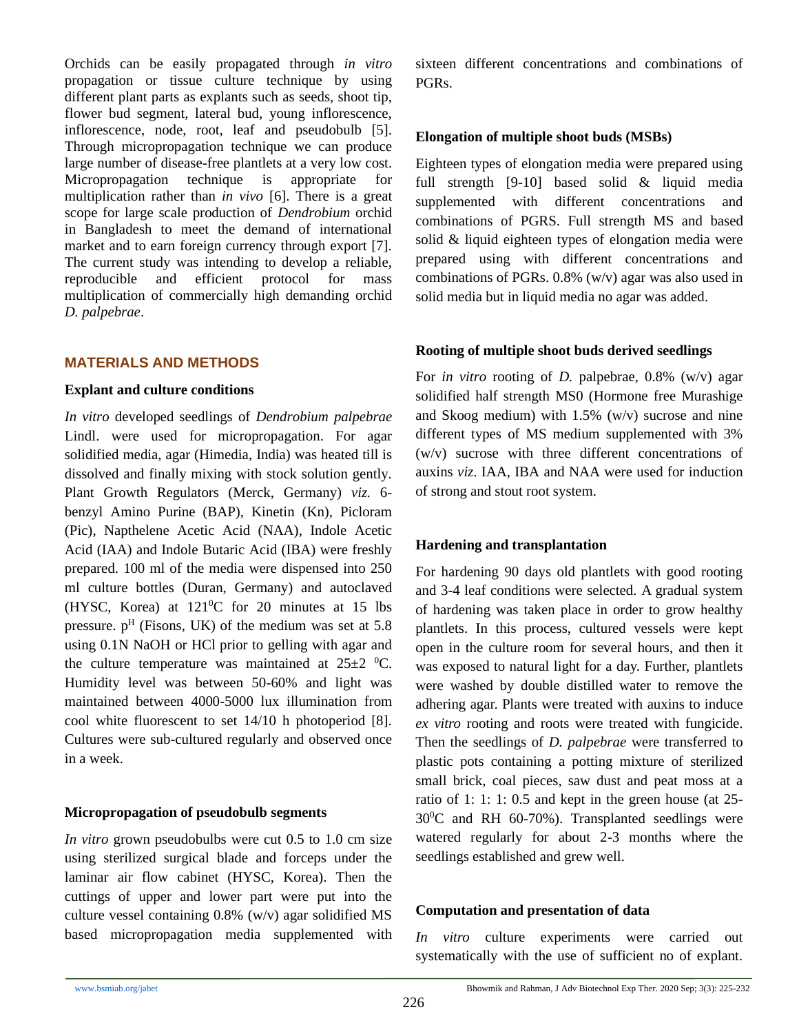Orchids can be easily propagated through *in vitro* propagation or tissue culture technique by using different plant parts as explants such as seeds, shoot tip, flower bud segment, lateral bud, young inflorescence, inflorescence, node, root, leaf and pseudobulb [5]. Through micropropagation technique we can produce large number of disease-free plantlets at a very low cost. Micropropagation technique is appropriate for multiplication rather than *in vivo* [6]. There is a great scope for large scale production of *Dendrobium* orchid in Bangladesh to meet the demand of international market and to earn foreign currency through export [7]. The current study was intending to develop a reliable, reproducible and efficient protocol for mass multiplication of commercially high demanding orchid *D. palpebrae*.

## **MATERIALS AND METHODS**

#### **Explant and culture conditions**

*In vitro* developed seedlings of *Dendrobium palpebrae*  Lindl. were used for micropropagation. For agar solidified media, agar (Himedia, India) was heated till is dissolved and finally mixing with stock solution gently. Plant Growth Regulators (Merck, Germany) *viz.* 6 benzyl Amino Purine (BAP), Kinetin (Kn), Picloram (Pic), Napthelene Acetic Acid (NAA), Indole Acetic Acid (IAA) and Indole Butaric Acid (IBA) were freshly prepared. 100 ml of the media were dispensed into 250 ml culture bottles (Duran, Germany) and autoclaved (HYSC, Korea) at  $121\degree$ C for 20 minutes at 15 lbs pressure.  $p<sup>H</sup>$  (Fisons, UK) of the medium was set at 5.8 using 0.1N NaOH or HCl prior to gelling with agar and the culture temperature was maintained at  $25\pm2~^0C$ . Humidity level was between 50-60% and light was maintained between 4000-5000 lux illumination from cool white fluorescent to set 14/10 h photoperiod [8]. Cultures were sub-cultured regularly and observed once in a week.

#### **Micropropagation of pseudobulb segments**

*In vitro* grown pseudobulbs were cut 0.5 to 1.0 cm size using sterilized surgical blade and forceps under the laminar air flow cabinet (HYSC, Korea). Then the cuttings of upper and lower part were put into the culture vessel containing 0.8% (w/v) agar solidified MS based micropropagation media supplemented with sixteen different concentrations and combinations of PGRs.

#### **Elongation of multiple shoot buds (MSBs)**

Eighteen types of elongation media were prepared using full strength [9-10] based solid & liquid media supplemented with different concentrations and combinations of PGRS. Full strength MS and based solid & liquid eighteen types of elongation media were prepared using with different concentrations and combinations of PGRs. 0.8% (w/v) agar was also used in solid media but in liquid media no agar was added.

#### **Rooting of multiple shoot buds derived seedlings**

For *in vitro* rooting of *D.* palpebrae, 0.8% (w/v) agar solidified half strength MS0 (Hormone free Murashige and Skoog medium) with 1.5% (w/v) sucrose and nine different types of MS medium supplemented with 3% (w/v) sucrose with three different concentrations of auxins *viz*. IAA, IBA and NAA were used for induction of strong and stout root system.

#### **Hardening and transplantation**

For hardening 90 days old plantlets with good rooting and 3-4 leaf conditions were selected. A gradual system of hardening was taken place in order to grow healthy plantlets. In this process, cultured vessels were kept open in the culture room for several hours, and then it was exposed to natural light for a day. Further, plantlets were washed by double distilled water to remove the adhering agar. Plants were treated with auxins to induce *ex vitro* rooting and roots were treated with fungicide. Then the seedlings of *D. palpebrae* were transferred to plastic pots containing a potting mixture of sterilized small brick, coal pieces, saw dust and peat moss at a ratio of 1: 1: 1: 0.5 and kept in the green house (at 25-  $30^{\circ}$ C and RH 60-70%). Transplanted seedlings were watered regularly for about 2-3 months where the seedlings established and grew well.

#### **Computation and presentation of data**

*In vitro* culture experiments were carried out systematically with the use of sufficient no of explant.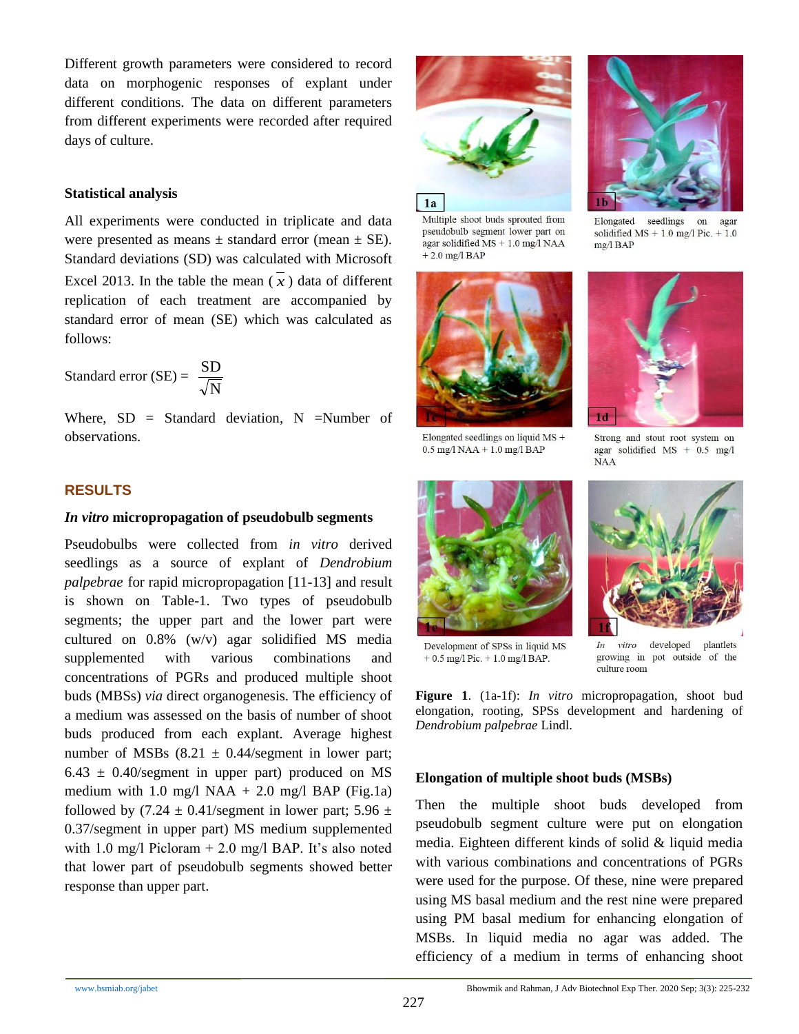Different growth parameters were considered to record data on morphogenic responses of explant under different conditions. The data on different parameters from different experiments were recorded after required days of culture.

## **Statistical analysis**

All experiments were conducted in triplicate and data were presented as means  $\pm$  standard error (mean  $\pm$  SE). Standard deviations (SD) was calculated with Microsoft Excel 2013. In the table the mean  $(\overline{x})$  data of different replication of each treatment are accompanied by standard error of mean (SE) which was calculated as follows:

Standard error (SE) = 
$$
\frac{\text{SD}}{\sqrt{\text{N}}}
$$

Where,  $SD = Standard deviation$ , N =Number of observations.

## **RESULTS**

## *In vitro* **micropropagation of pseudobulb segments**

Pseudobulbs were collected from *in vitro* derived seedlings as a source of explant of *Dendrobium palpebrae* for rapid micropropagation [11-13] and result is shown on Table-1. Two types of pseudobulb segments; the upper part and the lower part were cultured on 0.8% (w/v) agar solidified MS media supplemented with various combinations and concentrations of PGRs and produced multiple shoot buds (MBSs) *via* direct organogenesis. The efficiency of a medium was assessed on the basis of number of shoot buds produced from each explant. Average highest number of MSBs  $(8.21 \pm 0.44/\text{segment}$  in lower part;  $6.43 \pm 0.40$ /segment in upper part) produced on MS medium with 1.0 mg/l NAA  $+$  2.0 mg/l BAP (Fig.1a) followed by  $(7.24 \pm 0.41/\text{segment}$  in lower part;  $5.96 \pm$ 0.37/segment in upper part) MS medium supplemented with 1.0 mg/l Picloram  $+ 2.0$  mg/l BAP. It's also noted that lower part of pseudobulb segments showed better response than upper part.



Multiple shoot buds sprouted from pseudobulb segment lower part on agar solidified  $MS + 1.0$  mg/l NAA  $+2.0$  mg/l BAP





Elongated seedlings on liquid MS +

 $0.5$  mg/l NAA + 1.0 mg/l BAP

 $1<sub>d</sub>$ Strong and stout root system on agar solidified MS + 0.5 mg/l **NAA** 





Development of SPSs in liquid MS  $+ 0.5$  mg/l Pic.  $+ 1.0$  mg/l BAP.

 $In$ vitro developed plantlets growing in pot outside of the culture room

**Figure 1**. (1a-1f): *In vitro* micropropagation, shoot bud elongation, rooting, SPSs development and hardening of *Dendrobium palpebrae* Lindl.

#### **Elongation of multiple shoot buds (MSBs)**

Then the multiple shoot buds developed from pseudobulb segment culture were put on elongation media. Eighteen different kinds of solid & liquid media with various combinations and concentrations of PGRs were used for the purpose. Of these, nine were prepared using MS basal medium and the rest nine were prepared using PM basal medium for enhancing elongation of MSBs. In liquid media no agar was added. The efficiency of a medium in terms of enhancing shoot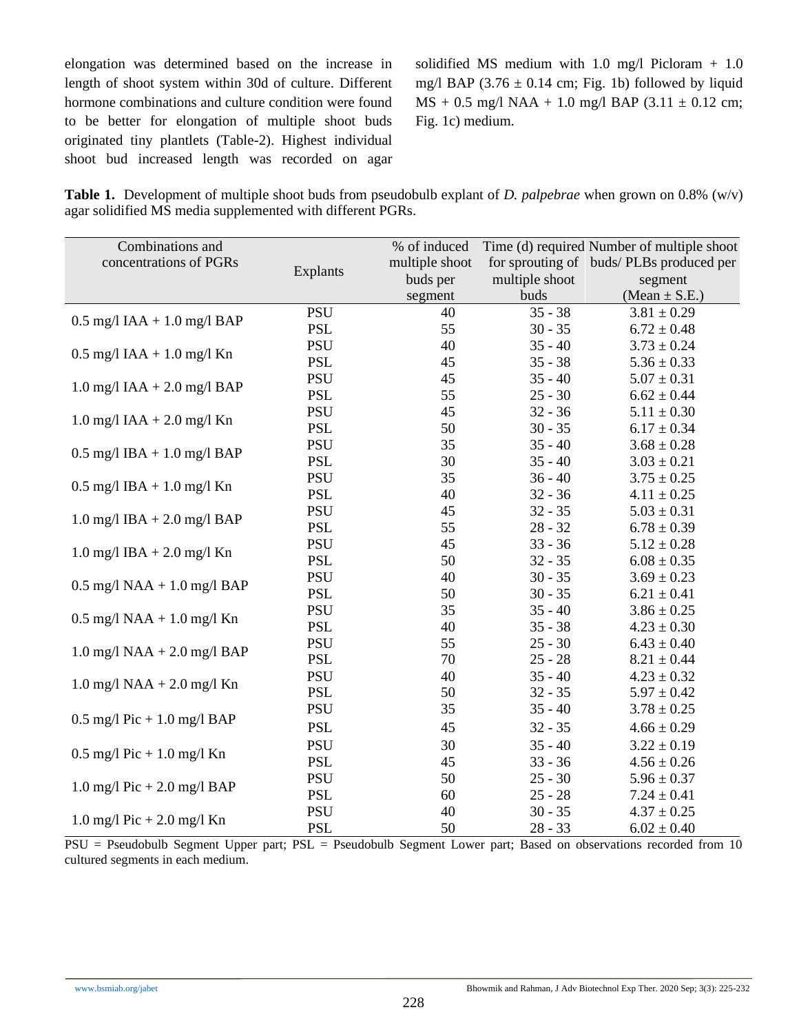elongation was determined based on the increase in length of shoot system within 30d of culture. Different hormone combinations and culture condition were found to be better for elongation of multiple shoot buds originated tiny plantlets (Table-2). Highest individual shoot bud increased length was recorded on agar solidified MS medium with 1.0 mg/l Picloram + 1.0 mg/l BAP (3.76  $\pm$  0.14 cm; Fig. 1b) followed by liquid  $MS + 0.5$  mg/l NAA + 1.0 mg/l BAP (3.11  $\pm$  0.12 cm; Fig. 1c) medium.

**Table 1.** Development of multiple shoot buds from pseudobulb explant of *D. palpebrae* when grown on 0.8% (w/v) agar solidified MS media supplemented with different PGRs.

| Combinations and<br>concentrations of PGRs | Explants   | % of induced<br>multiple shoot<br>buds per | multiple shoot | Time (d) required Number of multiple shoot<br>for sprouting of buds/PLBs produced per<br>segment |
|--------------------------------------------|------------|--------------------------------------------|----------------|--------------------------------------------------------------------------------------------------|
|                                            |            | segment                                    | buds           | (Mean $\pm$ S.E.)                                                                                |
|                                            | <b>PSU</b> | 40                                         | $35 - 38$      | $3.81 \pm 0.29$                                                                                  |
| $0.5$ mg/l IAA + 1.0 mg/l BAP              | <b>PSL</b> | 55                                         | $30 - 35$      | $6.72 \pm 0.48$                                                                                  |
|                                            | <b>PSU</b> | 40                                         | $35 - 40$      | $3.73 \pm 0.24$                                                                                  |
| $0.5$ mg/l IAA + 1.0 mg/l Kn               | <b>PSL</b> | 45                                         | $35 - 38$      | $5.36 \pm 0.33$                                                                                  |
|                                            | <b>PSU</b> | 45                                         | $35 - 40$      | $5.07 \pm 0.31$                                                                                  |
| $1.0$ mg/l IAA + $2.0$ mg/l BAP            | <b>PSL</b> | 55                                         | $25 - 30$      | $6.62 \pm 0.44$                                                                                  |
|                                            | <b>PSU</b> | 45                                         | $32 - 36$      | $5.11 \pm 0.30$                                                                                  |
| $1.0$ mg/l IAA + $2.0$ mg/l Kn             | <b>PSL</b> | 50                                         | $30 - 35$      | $6.17 \pm 0.34$                                                                                  |
| $0.5$ mg/l IBA + 1.0 mg/l BAP              | <b>PSU</b> | 35                                         | $35 - 40$      | $3.68 \pm 0.28$                                                                                  |
|                                            | <b>PSL</b> | 30                                         | $35 - 40$      | $3.03 \pm 0.21$                                                                                  |
| $0.5$ mg/l IBA + 1.0 mg/l Kn               | <b>PSU</b> | 35                                         | $36 - 40$      | $3.75 \pm 0.25$                                                                                  |
|                                            | <b>PSL</b> | 40                                         | $32 - 36$      | $4.11 \pm 0.25$                                                                                  |
| $1.0$ mg/l IBA + 2.0 mg/l BAP              | <b>PSU</b> | 45                                         | $32 - 35$      | $5.03 \pm 0.31$                                                                                  |
|                                            | <b>PSL</b> | 55                                         | $28 - 32$      | $6.78 \pm 0.39$                                                                                  |
| $1.0$ mg/l IBA + $2.0$ mg/l Kn             | <b>PSU</b> | 45                                         | $33 - 36$      | $5.12 \pm 0.28$                                                                                  |
|                                            | <b>PSL</b> | 50                                         | $32 - 35$      | $6.08 \pm 0.35$                                                                                  |
| $0.5$ mg/l NAA + 1.0 mg/l BAP              | <b>PSU</b> | 40                                         | $30 - 35$      | $3.69 \pm 0.23$                                                                                  |
|                                            | <b>PSL</b> | 50                                         | $30 - 35$      | $6.21 \pm 0.41$                                                                                  |
| $0.5$ mg/l NAA + 1.0 mg/l Kn               | <b>PSU</b> | 35                                         | $35 - 40$      | $3.86 \pm 0.25$                                                                                  |
|                                            | <b>PSL</b> | 40                                         | $35 - 38$      | $4.23 \pm 0.30$                                                                                  |
| $1.0$ mg/l NAA + $2.0$ mg/l BAP            | <b>PSU</b> | 55                                         | $25 - 30$      | $6.43 \pm 0.40$                                                                                  |
|                                            | <b>PSL</b> | 70                                         | $25 - 28$      | $8.21 \pm 0.44$                                                                                  |
| $1.0$ mg/l NAA + $2.0$ mg/l Kn             | <b>PSU</b> | 40                                         | $35 - 40$      | $4.23 \pm 0.32$                                                                                  |
|                                            | <b>PSL</b> | 50                                         | $32 - 35$      | $5.97 \pm 0.42$                                                                                  |
| $0.5$ mg/l Pic + 1.0 mg/l BAP              | <b>PSU</b> | 35                                         | $35 - 40$      | $3.78 \pm 0.25$                                                                                  |
|                                            | <b>PSL</b> | 45                                         | $32 - 35$      | $4.66 \pm 0.29$                                                                                  |
| $0.5$ mg/l Pic + 1.0 mg/l Kn               | <b>PSU</b> | 30                                         | $35 - 40$      | $3.22 \pm 0.19$                                                                                  |
|                                            | <b>PSL</b> | 45                                         | $33 - 36$      | $4.56 \pm 0.26$                                                                                  |
| $1.0$ mg/l Pic + 2.0 mg/l BAP              | <b>PSU</b> | 50                                         | $25 - 30$      | $5.96 \pm 0.37$                                                                                  |
|                                            | <b>PSL</b> | 60                                         | $25 - 28$      | $7.24 \pm 0.41$                                                                                  |
| $1.0$ mg/l Pic + 2.0 mg/l Kn               | <b>PSU</b> | 40                                         | $30 - 35$      | $4.37 \pm 0.25$                                                                                  |
|                                            | <b>PSL</b> | 50                                         | $28 - 33$      | $6.02 \pm 0.40$                                                                                  |

PSU = Pseudobulb Segment Upper part; PSL = Pseudobulb Segment Lower part; Based on observations recorded from 10 cultured segments in each medium.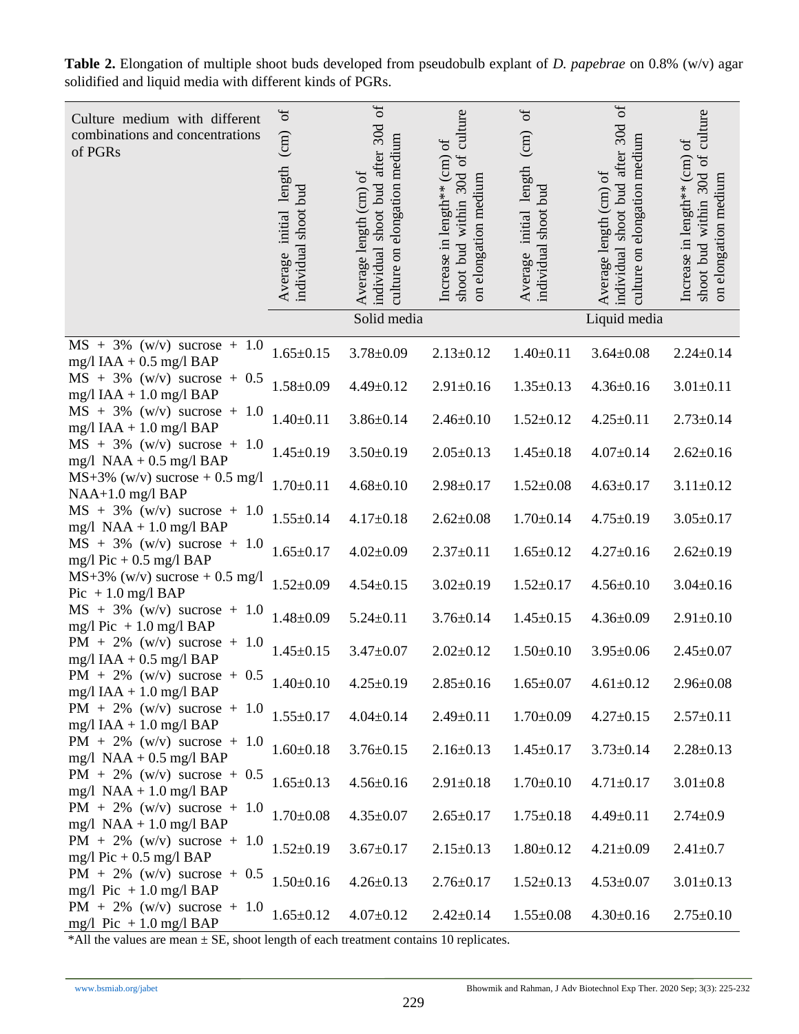| Culture medium with different<br>combinations and concentrations<br>of PGRs | $\sigma$<br>(cm)<br>Average initial length<br>individual shoot bud | $\sigma$<br>30d<br>elongation medium<br>shoot bud after<br>Average length (cm) of<br>individual<br>culture on<br>Solid media | culture<br>Increase in length <sup>**</sup> (cm) of<br>$\rm ^{of}$<br>30d<br>elongation medium<br>within<br>shoot bud<br>$\overline{\mathrm{m}}$ | $\sigma$<br>(cm)<br>initial length<br>individual shoot bud<br>Average | $\sigma$<br>30d<br>elongation medium<br>individual shoot bud after<br>Average length (cm) of<br>culture on<br>Liquid media | culture<br>Increase in length** (cm) of<br>$\sigma$<br>shoot bud within 30d<br>on elongation medium |
|-----------------------------------------------------------------------------|--------------------------------------------------------------------|------------------------------------------------------------------------------------------------------------------------------|--------------------------------------------------------------------------------------------------------------------------------------------------|-----------------------------------------------------------------------|----------------------------------------------------------------------------------------------------------------------------|-----------------------------------------------------------------------------------------------------|
| $MS + 3\%$ (w/v) sucrose + 1.0                                              |                                                                    |                                                                                                                              |                                                                                                                                                  |                                                                       |                                                                                                                            |                                                                                                     |
| mg/l IAA + $0.5$ mg/l BAP                                                   | $1.65 \pm 0.15$                                                    | $3.78 \pm 0.09$                                                                                                              | $2.13 \pm 0.12$                                                                                                                                  | $1.40 \pm 0.11$                                                       | $3.64 \pm 0.08$                                                                                                            | $2.24 \pm 0.14$                                                                                     |
| $MS + 3\%$ (w/v) sucrose + 0.5<br>mg/l IAA + 1.0 mg/l BAP                   | $1.58 \pm 0.09$                                                    | $4.49 \pm 0.12$                                                                                                              | $2.91 \pm 0.16$                                                                                                                                  | $1.35 \pm 0.13$                                                       | $4.36 \pm 0.16$                                                                                                            | $3.01 \pm 0.11$                                                                                     |
| $MS + 3\%$ (w/v) sucrose + 1.0<br>mg/l IAA + 1.0 mg/l BAP                   | $1.40 \pm 0.11$                                                    | $3.86 \pm 0.14$                                                                                                              | $2.46 \pm 0.10$                                                                                                                                  | $1.52 \pm 0.12$                                                       | $4.25 \pm 0.11$                                                                                                            | $2.73 \pm 0.14$                                                                                     |
| $MS + 3\%$ (w/v) sucrose + 1.0<br>$mg/l$ NAA + 0.5 mg/l BAP                 | $1.45 \pm 0.19$                                                    | $3.50 \pm 0.19$                                                                                                              | $2.05 \pm 0.13$                                                                                                                                  | $1.45 \pm 0.18$                                                       | $4.07 \pm 0.14$                                                                                                            | $2.62 \pm 0.16$                                                                                     |
| $MS+3\%$ (w/v) sucrose + 0.5 mg/l<br>$NAA+1.0$ mg/l BAP                     | $1.70 \pm 0.11$                                                    | $4.68 \pm 0.10$                                                                                                              | $2.98 \pm 0.17$                                                                                                                                  | $1.52 \pm 0.08$                                                       | $4.63 \pm 0.17$                                                                                                            | $3.11 \pm 0.12$                                                                                     |
| $MS + 3\%$ (w/v) sucrose + 1.0<br>mg/l $NAA + 1.0$ mg/l $BAP$               | $1.55 \pm 0.14$                                                    | $4.17 \pm 0.18$                                                                                                              | $2.62 \pm 0.08$                                                                                                                                  | $1.70 \pm 0.14$                                                       | $4.75 \pm 0.19$                                                                                                            | $3.05 \pm 0.17$                                                                                     |
| $MS + 3\%$ (w/v) sucrose + 1.0<br>mg/l Pic + $0.5$ mg/l BAP                 | $1.65 \pm 0.17$                                                    | $4.02 \pm 0.09$                                                                                                              | $2.37 \pm 0.11$                                                                                                                                  | $1.65 \pm 0.12$                                                       | $4.27 \pm 0.16$                                                                                                            | $2.62 \pm 0.19$                                                                                     |
| $MS+3\%$ (w/v) sucrose + 0.5 mg/l<br>Pic $+1.0$ mg/l BAP                    | $1.52 \pm 0.09$                                                    | $4.54 \pm 0.15$                                                                                                              | $3.02 \pm 0.19$                                                                                                                                  | $1.52 \pm 0.17$                                                       | $4.56 \pm 0.10$                                                                                                            | $3.04 \pm 0.16$                                                                                     |
| $MS + 3\%$ (w/v) sucrose + 1.0<br>mg/l Pic $+1.0$ mg/l BAP                  | $1.48 \pm 0.09$                                                    | $5.24 \pm 0.11$                                                                                                              | $3.76 \pm 0.14$                                                                                                                                  | $1.45 \pm 0.15$                                                       | $4.36 \pm 0.09$                                                                                                            | $2.91 \pm 0.10$                                                                                     |
| $PM + 2\%$ (w/v) sucrose + 1.0<br>mg/l IAA + $0.5$ mg/l BAP                 | $1.45 \pm 0.15$                                                    | $3.47 \pm 0.07$                                                                                                              | $2.02 \pm 0.12$                                                                                                                                  | $1.50 \pm 0.10$                                                       | $3.95 \pm 0.06$                                                                                                            | $2.45 \pm 0.07$                                                                                     |
| PM + 2% (w/v) sucrose + 0.5<br>$mg/l$ IAA + 1.0 mg/l BAP                    | $1.40 \pm 0.10$                                                    | $4.25 \pm 0.19$                                                                                                              | $2.85 \pm 0.16$                                                                                                                                  | $1.65 \pm 0.07$                                                       | $4.61 \pm 0.12$                                                                                                            | $2.96 \pm 0.08$                                                                                     |
| PM + 2% (w/v) sucrose + 1.0<br>$mg/l$ IAA + 1.0 mg/l BAP                    | $1.55 \pm 0.17$                                                    | $4.04 \pm 0.14$                                                                                                              | $2.49 \pm 0.11$                                                                                                                                  | $1.70 \pm 0.09$                                                       | $4.27 \pm 0.15$                                                                                                            | $2.57 \pm 0.11$                                                                                     |
| PM + 2% (w/v) sucrose + 1.0<br>mg/l NAA + $0.5$ mg/l BAP                    | $1.60 \pm 0.18$                                                    | $3.76 \pm 0.15$                                                                                                              | $2.16 \pm 0.13$                                                                                                                                  | $1.45 \pm 0.17$                                                       | $3.73 \pm 0.14$                                                                                                            | $2.28 \pm 0.13$                                                                                     |
| PM + 2% (w/v) sucrose + $0.5$<br>mg/l $NAA + 1.0$ mg/l BAP                  | $1.65 \pm 0.13$                                                    | $4.56 \pm 0.16$                                                                                                              | $2.91 \pm 0.18$                                                                                                                                  | $1.70 \pm 0.10$                                                       | $4.71 \pm 0.17$                                                                                                            | $3.01 \pm 0.8$                                                                                      |
| $PM + 2\%$ (w/v) sucrose + 1.0<br>mg/l $NAA + 1.0$ mg/l BAP                 | $1.70 \pm 0.08$                                                    | $4.35 \pm 0.07$                                                                                                              | $2.65 \pm 0.17$                                                                                                                                  | $1.75 \pm 0.18$                                                       | $4.49 \pm 0.11$                                                                                                            | $2.74 \pm 0.9$                                                                                      |
| $PM + 2\%$ (w/v) sucrose + 1.0<br>mg/l Pic + $0.5$ mg/l BAP                 | $1.52 \pm 0.19$                                                    | $3.67 \pm 0.17$                                                                                                              | $2.15 \pm 0.13$                                                                                                                                  | $1.80 \pm 0.12$                                                       | $4.21 \pm 0.09$                                                                                                            | $2.41 \pm 0.7$                                                                                      |
| PM + 2% (w/v) sucrose + 0.5<br>mg/l Pic $+1.0$ mg/l BAP                     | $1.50 \pm 0.16$                                                    | $4.26 \pm 0.13$                                                                                                              | $2.76 \pm 0.17$                                                                                                                                  | $1.52 \pm 0.13$                                                       | $4.53 \pm 0.07$                                                                                                            | $3.01 \pm 0.13$                                                                                     |
| PM + 2% (w/v) sucrose + 1.0<br>mg/l Pic $+1.0$ mg/l BAP                     | $1.65 \pm 0.12$                                                    | $4.07 \pm 0.12$                                                                                                              | $2.42 \pm 0.14$                                                                                                                                  | $1.55 \pm 0.08$                                                       | $4.30 \pm 0.16$                                                                                                            | $2.75 \pm 0.10$                                                                                     |

**Table 2.** Elongation of multiple shoot buds developed from pseudobulb explant of *D. papebrae* on 0.8% (w/v) agar solidified and liquid media with different kinds of PGRs.

\*All the values are mean ± SE, shoot length of each treatment contains 10 replicates.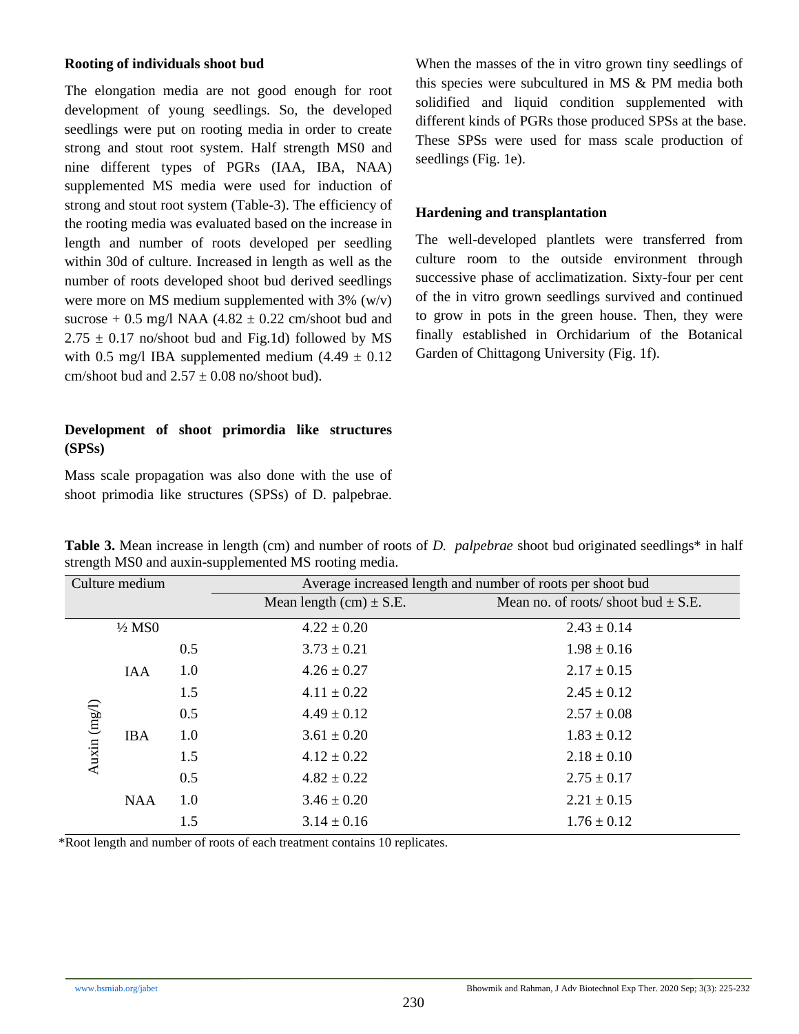## **Rooting of individuals shoot bud**

The elongation media are not good enough for root development of young seedlings. So, the developed seedlings were put on rooting media in order to create strong and stout root system. Half strength MS0 and nine different types of PGRs (IAA, IBA, NAA) supplemented MS media were used for induction of strong and stout root system (Table-3). The efficiency of the rooting media was evaluated based on the increase in length and number of roots developed per seedling within 30d of culture. Increased in length as well as the number of roots developed shoot bud derived seedlings were more on MS medium supplemented with 3% (w/v) sucrose  $+ 0.5$  mg/l NAA (4.82  $\pm 0.22$  cm/shoot bud and  $2.75 \pm 0.17$  no/shoot bud and Fig.1d) followed by MS with 0.5 mg/l IBA supplemented medium  $(4.49 \pm 0.12)$ cm/shoot bud and  $2.57 \pm 0.08$  no/shoot bud).

# **Development of shoot primordia like structures (SPSs)**

Mass scale propagation was also done with the use of shoot primodia like structures (SPSs) of D. palpebrae. When the masses of the in vitro grown tiny seedlings of this species were subcultured in MS & PM media both solidified and liquid condition supplemented with different kinds of PGRs those produced SPSs at the base. These SPSs were used for mass scale production of seedlings (Fig. 1e).

## **Hardening and transplantation**

The well-developed plantlets were transferred from culture room to the outside environment through successive phase of acclimatization. Sixty-four per cent of the in vitro grown seedlings survived and continued to grow in pots in the green house. Then, they were finally established in Orchidarium of the Botanical Garden of Chittagong University (Fig. 1f).

|               | Culture medium<br>Average increased length and number of roots per shoot bud |     |                             |                                         |
|---------------|------------------------------------------------------------------------------|-----|-----------------------------|-----------------------------------------|
|               |                                                                              |     | Mean length $(cm) \pm S.E.$ | Mean no. of roots/ shoot bud $\pm$ S.E. |
|               | $\frac{1}{2}$ MSO                                                            |     | $4.22 \pm 0.20$             | $2.43 \pm 0.14$                         |
| Auxin $(mgI)$ |                                                                              | 0.5 | $3.73 \pm 0.21$             | $1.98 \pm 0.16$                         |
|               | IAA                                                                          | 1.0 | $4.26 \pm 0.27$             | $2.17 \pm 0.15$                         |
|               |                                                                              | 1.5 | $4.11 \pm 0.22$             | $2.45 \pm 0.12$                         |
|               |                                                                              | 0.5 | $4.49 \pm 0.12$             | $2.57 \pm 0.08$                         |
|               | <b>IBA</b>                                                                   | 1.0 | $3.61 \pm 0.20$             | $1.83 \pm 0.12$                         |
|               |                                                                              | 1.5 | $4.12 \pm 0.22$             | $2.18 \pm 0.10$                         |
|               |                                                                              | 0.5 | $4.82 \pm 0.22$             | $2.75 \pm 0.17$                         |
|               | <b>NAA</b>                                                                   | 1.0 | $3.46 \pm 0.20$             | $2.21 \pm 0.15$                         |
|               |                                                                              | 1.5 | $3.14 \pm 0.16$             | $1.76 \pm 0.12$                         |

**Table 3.** Mean increase in length (cm) and number of roots of *D. palpebrae* shoot bud originated seedlings\* in half strength MS0 and auxin-supplemented MS rooting media.

\*Root length and number of roots of each treatment contains 10 replicates.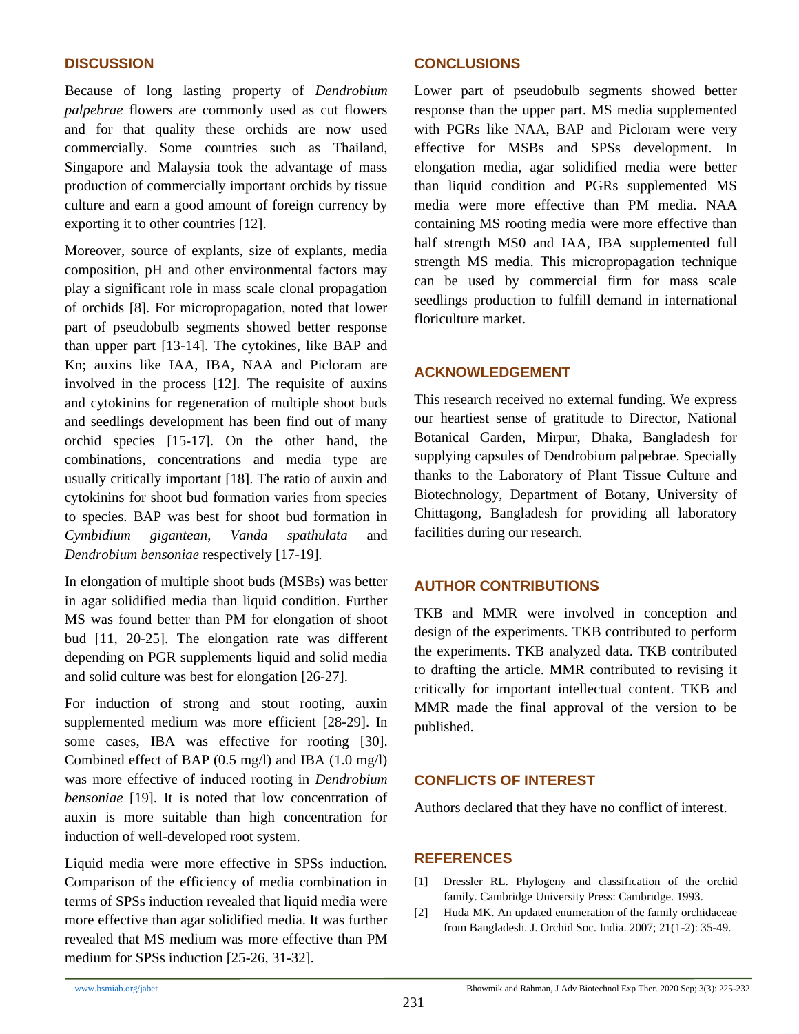## **DISCUSSION**

Because of long lasting property of *Dendrobium palpebrae* flowers are commonly used as cut flowers and for that quality these orchids are now used commercially. Some countries such as Thailand, Singapore and Malaysia took the advantage of mass production of commercially important orchids by tissue culture and earn a good amount of foreign currency by exporting it to other countries [12].

Moreover, source of explants, size of explants, media composition, pH and other environmental factors may play a significant role in mass scale clonal propagation of orchids [8]. For micropropagation, noted that lower part of pseudobulb segments showed better response than upper part [13-14]. The cytokines, like BAP and Kn; auxins like IAA, IBA, NAA and Picloram are involved in the process [12]. The requisite of auxins and cytokinins for regeneration of multiple shoot buds and seedlings development has been find out of many orchid species [15-17]. On the other hand, the combinations, concentrations and media type are usually critically important [18]. The ratio of auxin and cytokinins for shoot bud formation varies from species to species. BAP was best for shoot bud formation in *Cymbidium gigantean*, *Vanda spathulata* and *Dendrobium bensoniae* respectively [17-19]*.*

In elongation of multiple shoot buds (MSBs) was better in agar solidified media than liquid condition. Further MS was found better than PM for elongation of shoot bud [11, 20-25]. The elongation rate was different depending on PGR supplements liquid and solid media and solid culture was best for elongation [26-27].

For induction of strong and stout rooting, auxin supplemented medium was more efficient [28-29]. In some cases, IBA was effective for rooting [30]. Combined effect of BAP (0.5 mg/l) and IBA (1.0 mg/l) was more effective of induced rooting in *Dendrobium bensoniae* [19]. It is noted that low concentration of auxin is more suitable than high concentration for induction of well-developed root system*.*

Liquid media were more effective in SPSs induction. Comparison of the efficiency of media combination in terms of SPSs induction revealed that liquid media were more effective than agar solidified media. It was further revealed that MS medium was more effective than PM medium for SPSs induction [25-26, 31-32].

## **CONCLUSIONS**

Lower part of pseudobulb segments showed better response than the upper part. MS media supplemented with PGRs like NAA, BAP and Picloram were very effective for MSBs and SPSs development. In elongation media, agar solidified media were better than liquid condition and PGRs supplemented MS media were more effective than PM media. NAA containing MS rooting media were more effective than half strength MS0 and IAA, IBA supplemented full strength MS media. This micropropagation technique can be used by commercial firm for mass scale seedlings production to fulfill demand in international floriculture market*.*

## **ACKNOWLEDGEMENT**

This research received no external funding. We express our heartiest sense of gratitude to Director, National Botanical Garden, Mirpur, Dhaka, Bangladesh for supplying capsules of Dendrobium palpebrae. Specially thanks to the Laboratory of Plant Tissue Culture and Biotechnology, Department of Botany, University of Chittagong, Bangladesh for providing all laboratory facilities during our research.

# **AUTHOR CONTRIBUTIONS**

TKB and MMR were involved in conception and design of the experiments. TKB contributed to perform the experiments. TKB analyzed data. TKB contributed to drafting the article. MMR contributed to revising it critically for important intellectual content. TKB and MMR made the final approval of the version to be published.

# **CONFLICTS OF INTEREST**

Authors declared that they have no conflict of interest.

## **REFERENCES**

- [1] Dressler RL. Phylogeny and classification of the orchid family. Cambridge University Press: Cambridge. 1993.
- [2] Huda MK. An updated enumeration of the family orchidaceae from Bangladesh. J. Orchid Soc. India. 2007; 21(1-2): 35-49.